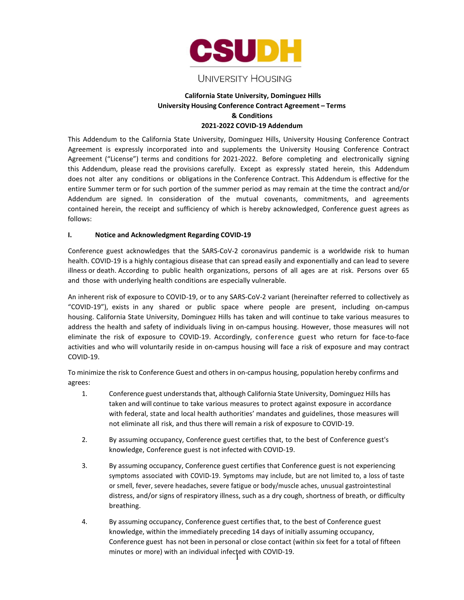

# UNIVERSITY HOUSING

## **California State University, Dominguez Hills University Housing Conference Contract Agreement – Terms & Conditions 2021-2022 COVID-19 Addendum**

This Addendum to the California State University, Dominguez Hills, University Housing Conference Contract Agreement is expressly incorporated into and supplements the University Housing Conference Contract Agreement ("License") terms and conditions for 2021-2022. Before completing and electronically signing this Addendum, please read the provisions carefully. Except as expressly stated herein, this Addendum does not alter any conditions or obligations in the Conference Contract. This Addendum is effective for the entire Summer term or for such portion of the summer period as may remain at the time the contract and/or Addendum are signed. In consideration of the mutual covenants, commitments, and agreements contained herein, the receipt and sufficiency of which is hereby acknowledged, Conference guest agrees as follows:

#### **I. Notice and Acknowledgment Regarding COVID-19**

Conference guest acknowledges that the SARS-CoV-2 coronavirus pandemic is a worldwide risk to human health. COVID-19 is a highly contagious disease that can spread easily and exponentially and can lead to severe illness or death. According to public health organizations, persons of all ages are at risk. Persons over 65 and those with underlying health conditions are especially vulnerable.

An inherent risk of exposure to COVID-19, or to any SARS-CoV-2 variant (hereinafter referred to collectively as "COVID-19"), exists in any shared or public space where people are present, including on-campus housing. California State University, Dominguez Hills has taken and will continue to take various measures to address the health and safety of individuals living in on-campus housing. However, those measures will not eliminate the risk of exposure to COVID-19. Accordingly, conference guest who return for face-to-face activities and who will voluntarily reside in on-campus housing will face a risk of exposure and may contract COVID-19.

To minimize the risk to Conference Guest and others in on-campus housing, population hereby confirms and agrees:

- 1. Conference guest understandsthat, although California State University, Dominguez Hills has taken and will continue to take various measures to protect against exposure in accordance with federal, state and local health authorities' mandates and guidelines, those measures will not eliminate all risk, and thus there will remain a risk of exposure to COVID-19.
- 2. By assuming occupancy, Conference guest certifies that, to the best of Conference guest's knowledge, Conference guest is not infected with COVID-19.
- 3. By assuming occupancy, Conference guest certifies that Conference guest is not experiencing symptoms associated with COVID-19. Symptoms may include, but are not limited to, a loss of taste or smell, fever, severe headaches, severe fatigue or body/muscle aches, unusual gastrointestinal distress, and/or signs of respiratory illness, such as a dry cough, shortness of breath, or difficulty breathing.
- 4. By assuming occupancy, Conference guest certifies that, to the best of Conference guest knowledge, within the immediately preceding 14 days of initially assuming occupancy, Conference guest has not been in personal or close contact (within six feet for a total of fifteen minutes or more) with an individual infected with COVID-19.<br>|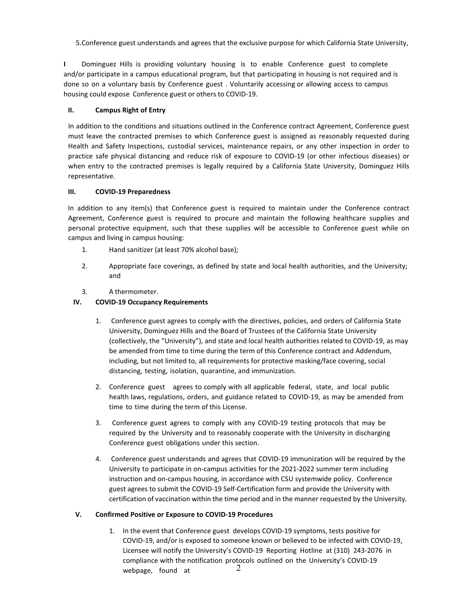5.Conference guest understands and agrees that the exclusive purpose for which California State University,

**I** Dominguez Hills is providing voluntary housing is to enable Conference guest to complete and/or participate in a campus educational program, but that participating in housing is not required and is done so on a voluntary basis by Conference guest . Voluntarily accessing or allowing access to campus housing could expose Conference guest or others to COVID-19.

#### **II. Campus Right of Entry**

In addition to the conditions and situations outlined in the Conference contract Agreement, Conference guest must leave the contracted premises to which Conference guest is assigned as reasonably requested during Health and Safety Inspections, custodial services, maintenance repairs, or any other inspection in order to practice safe physical distancing and reduce risk of exposure to COVID-19 (or other infectious diseases) or when entry to the contracted premises is legally required by a California State University, Dominguez Hills representative.

#### **III. COVID-19 Preparedness**

In addition to any item(s) that Conference guest is required to maintain under the Conference contract Agreement, Conference guest is required to procure and maintain the following healthcare supplies and personal protective equipment, such that these supplies will be accessible to Conference guest while on campus and living in campus housing:

- 1. Hand sanitizer (at least 70% alcohol base);
- 2. Appropriate face coverings, as defined by state and local health authorities, and the University; and
- 3. A thermometer.

### **IV. COVID-19 Occupancy Requirements**

- 1. Conference guest agrees to comply with the directives, policies, and orders of California State University, Dominguez Hills and the Board of Trustees of the California State University (collectively, the "University"), and state and local health authorities related to COVID-19, as may be amended from time to time during the term of this Conference contract and Addendum, including, but not limited to, all requirements for protective masking/face covering, social distancing, testing, isolation, quarantine, and immunization.
- 2. Conference guest agrees to comply with all applicable federal, state, and local public health laws, regulations, orders, and guidance related to COVID-19, as may be amended from time to time during the term of this License.
- 3. Conference guest agrees to comply with any COVID-19 testing protocols that may be required by the University and to reasonably cooperate with the University in discharging Conference guest obligations under this section.
- 4. Conference guest understands and agrees that COVID-19 immunization will be required by the University to participate in on-campus activities for the 2021-2022 summer term including instruction and on-campus housing, in accordance with CSU systemwide policy. Conference guest agrees to submit the COVID-19 Self-Certification form and provide the University with certification of vaccination within the time period and in the manner requested by the University.

#### **V. Confirmed Positive or Exposure to COVID-19 Procedures**

1. In the event that Conference guest develops COVID-19 symptoms, tests positive for COVID-19, and/or is exposed to someone known or believed to be infected with COVID-19, Licensee will notify the University's COVID-19 Reporting Hotline at (310) 243-2076 in compliance with the notification protocols outlined on the University's COVID-19 webpage, found at  $2$